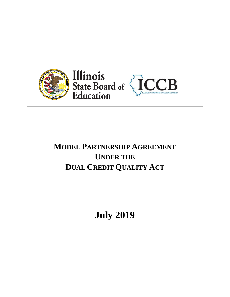

# **MODEL PARTNERSHIP AGREEMENT UNDER THE DUAL CREDIT QUALITY ACT**

**July 2019**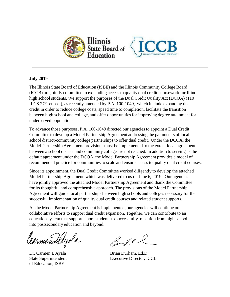

# **July 2019**

The Illinois State Board of Education (ISBE) and the Illinois Community College Board (ICCB) are jointly committed to expanding access to quality dual credit coursework for Illinois high school students. We support the purposes of the Dual Credit Quality Act (DCQA) (110 ILCS 27/1 et seq.), as recently amended by P.A. 100-1049, which include expanding dual credit in order to reduce college costs, speed time to completion, facilitate the transition between high school and college, and offer opportunities for improving degree attainment for underserved populations.

To advance those purposes, P.A. 100-1049 directed our agencies to appoint a Dual Credit Committee to develop a Model Partnership Agreement addressing the parameters of local school district-community college partnerships to offer dual credit. Under the DCQA, the Model Partnership Agreement provisions must be implemented to the extent local agreement between a school district and community college are not reached. In addition to serving as the default agreement under the DCQA, the Model Partnership Agreement provides a model of recommended practice for communities to scale and ensure access to quality dual credit courses.

Since its appointment, the Dual Credit Committee worked diligently to develop the attached Model Partnership Agreement, which was delivered to us on June 6, 2019. Our agencies have jointly approved the attached Model Partnership Agreement and thank the Committee for its thoughtful and comprehensive approach. The provisions of the Model Partnership Agreement will guide local partnerships between high schools and colleges necessary for the successful implementation of quality dual credit courses and related student supports.

As the Model Partnership Agreement is implemented, our agencies will continue our collaborative efforts to support dual credit expansion. Together, we can contribute to an education system that supports more students to successfully transition from high school into postsecondary education and beyond.

Carmen Lelyala

of Education, ISBE

Batal

Dr. Carmen I. Ayala Brian Durham, Ed.D. State Superintendent Executive Director, ICCB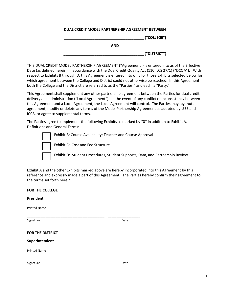## **DUAL CREDIT MODEL PARTNERSHIP AGREEMENT BETWEEN**

**\_\_\_\_\_\_\_\_\_\_\_\_\_\_\_\_\_\_\_\_\_\_\_\_\_\_\_\_\_\_\_\_\_\_\_\_\_\_\_ ("COLLEGE")**

**AND**

**\_\_\_\_\_\_\_\_\_\_\_\_\_\_\_\_\_\_\_\_\_\_\_\_\_\_\_\_\_\_\_\_\_\_\_\_\_\_\_ ("DISTRICT")**

THIS DUAL CREDIT MODEL PARTNERSHIP AGREEMENT ("Agreement") is entered into as of the Effective Date (as defined herein) in accordance with the Dual Credit Quality Act (110 ILCS 27/1) ("DCQA"). With respect to Exhibits B through D, this Agreement is entered into only for those Exhibits selected below for which agreement between the College and District could not otherwise be reached. In this Agreement, both the College and the District are referred to as the "Parties," and each, a "Party."

This Agreement shall supplement any other partnership agreement between the Parties for dual credit delivery and administration ("Local Agreement"). In the event of any conflict or inconsistency between this Agreement and a Local Agreement, the Local Agreement will control. The Parties may, by mutual agreement, modify or delete any terms of the Model Partnership Agreement as adopted by ISBE and ICCB, or agree to supplemental terms.

The Parties agree to implement the following Exhibits as marked by "**X**" in addition to Exhibit A, Definitions and General Terms:

Exhibit B: Course Availability; Teacher and Course Approval Exhibit C: Cost and Fee Structure Exhibit D: Student Procedures, Student Supports, Data, and Partnership Review

Exhibit A and the other Exhibits marked above are hereby incorporated into this Agreement by this reference and expressly made a part of this Agreement. The Parties hereby confirm their agreement to the terms set forth herein.

| <b>FOR THE COLLEGE</b>  |      |
|-------------------------|------|
| President               |      |
| <b>Printed Name</b>     |      |
| Signature               | Date |
| <b>FOR THE DISTRICT</b> |      |
| Superintendent          |      |
| <b>Printed Name</b>     |      |
| Signature               | Date |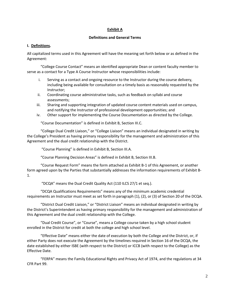## **Exhibit A**

#### **Definitions and General Terms**

# **I. Definitions.**

All capitalized terms used in this Agreement will have the meaning set forth below or as defined in the Agreement:

"College Course Contact" means an identified appropriate Dean or content faculty member to serve as a contact for a Type A Course Instructor whose responsibilities include:

- i. Serving as a contact and ongoing resource to the Instructor during the course delivery, including being available for consultation on a timely basis as reasonably requested by the Instructor;
- ii. Coordinating course administrative tasks, such as feedback on syllabi and course assessments;
- iii. Sharing and supporting integration of updated course content materials used on campus, and notifying the Instructor of professional development opportunities; and
- iv. Other support for implementing the Course Documentation as directed by the College.

"Course Documentation" is defined in Exhibit B, Section III.C.

"College Dual Credit Liaison," or "College Liaison" means an individual designated in writing by the College's President as having primary responsibility for the management and administration of this Agreement and the dual credit relationship with the District.

"Course Planning" is defined in Exhibit B, Section III.A.

"Course Planning Decision Areas" is defined in Exhibit B, Section III.B.

"Course Request Form" means the form attached as Exhibit B-1 of this Agreement, or another form agreed upon by the Parties that substantially addresses the information requirements of Exhibit B-1.

"DCQA" means the Dual Credit Quality Act (110 ILCS 27/1 et seq.).

"DCQA Qualifications Requirements" means any of the minimum academic credential requirements an Instructor must meet as set forth in paragraph (1), (2), or (3) of Section 20 of the DCQA.

"District Dual Credit Liaison," or "District Liaison" means an individual designated in writing by the District's Superintendent as having primary responsibility for the management and administration of this Agreement and the dual credit relationship with the College.

"Dual Credit Course", or "Course", means a College course taken by a high school student enrolled in the District for credit at both the college and high school level.

"Effective Date" means either the date of execution by both the College and the District, or, if either Party does not execute the Agreement by the timelines required in Section 16 of the DCQA, the date established by either ISBE (with respect to the District) or ICCB (with respect to the College) as the Effective Date.

"FERPA" means the Family Educational Rights and Privacy Act of 1974, and the regulations at 34 CFR Part 99.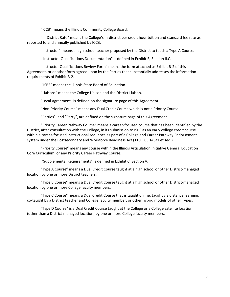"ICCB" means the Illinois Community College Board.

"In-District Rate" means the College's in-district per credit hour tuition and standard fee rate as reported to and annually published by ICCB.

"Instructor" means a high school teacher proposed by the District to teach a Type A Course.

"Instructor Qualifications Documentation" is defined in Exhibit B, Section II.C.

"Instructor Qualifications Review Form" means the form attached as Exhibit B-2 of this Agreement, or another form agreed upon by the Parties that substantially addresses the information requirements of Exhibit B-2.

"ISBE" means the Illinois State Board of Education.

"Liaisons" means the College Liaison and the District Liaison.

"Local Agreement" is defined on the signature page of this Agreement.

"Non-Priority Course" means any Dual Credit Course which is not a Priority Course.

"Parties", and "Party", are defined on the signature page of this Agreement.

"Priority Career Pathway Course" means a career-focused course that has been identified by the District, after consultation with the College, in its submission to ISBE as an early college credit course within a career-focused instructional sequence as part of a College and Career Pathway Endorsement system under the Postsecondary and Workforce Readiness Act (110 ILCS 148/1 et seq.).

"Priority Course" means any course within the Illinois Articulation Initiative General Education Core Curriculum, or any Priority Career Pathway Course.

"Supplemental Requirements" is defined in Exhibit C, Section V.

"Type A Course" means a Dual Credit Course taught at a high school or other District-managed location by one or more District teachers.

"Type B Course" means a Dual Credit Course taught at a high school or other District-managed location by one or more College faculty members.

"Type C Course" means a Dual Credit Course that is taught online, taught via distance learning, co-taught by a District teacher and College faculty member, or other hybrid models of other Types.

"Type D Course" is a Dual Credit Course taught at the College or a College satellite location (other than a District-managed location) by one or more College faculty members.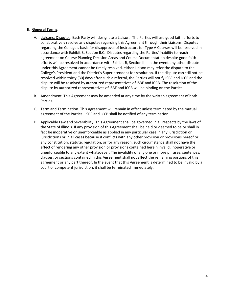## **II. General Terms.**

- A. Liaisons; Disputes. Each Party will designate a Liaison. The Parties will use good faith efforts to collaboratively resolve any disputes regarding this Agreement through their Liaisons. Disputes regarding the College's basis for disapproval of Instructors for Type A Courses will be resolved in accordance with Exhibit B, Section II.C. Disputes regarding the Parties' inability to reach agreement on Course Planning Decision Areas and Course Documentation despite good faith efforts will be resolved in accordance with Exhibit B, Section III. In the event any other dispute under this Agreement cannot be timely resolved, either Liaison may refer the dispute to the College's President and the District's Superintendent for resolution. If the dispute can still not be resolved within thirty (30) days after such a referral, the Parties will notify ISBE and ICCB and the dispute will be resolved by authorized representatives of ISBE and ICCB. The resolution of the dispute by authorized representatives of ISBE and ICCB will be binding on the Parties.
- B. Amendment. This Agreement may be amended at any time by the written agreement of both Parties.
- C. Term and Termination. This Agreement will remain in effect unless terminated by the mutual agreement of the Parties. ISBE and ICCB shall be notified of any termination.
- D. Applicable Law and Severability. This Agreement shall be governed in all respects by the laws of the State of Illinois. If any provision of this Agreement shall be held or deemed to be or shall in fact be inoperative or unenforceable as applied in any particular case in any jurisdiction or jurisdictions or in all cases because it conflicts with any other provision or provisions hereof or any constitution, statute, regulation, or for any reason, such circumstance shall not have the effect of rendering any other provision or provisions contained herein invalid, inoperative or unenforceable to any extent whatsoever. The invalidity of any one or more phrases, sentences, clauses, or sections contained in this Agreement shall not affect the remaining portions of this agreement or any part thereof. In the event that this Agreement is determined to be invalid by a court of competent jurisdiction, it shall be terminated immediately.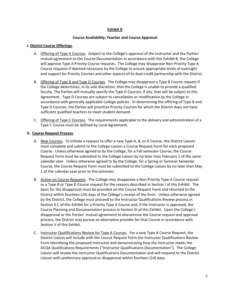# **Exhibit B**

## **Course Availability; Teacher and Course Approval**

#### **I. District Course Offerings.**

- A. Offering of Type A Courses. Subject to the College's approval of the Instructor and the Parties' mutual agreement to the Course Documentation in accordance with this Exhibit B, the College will approve Type A Priority Course requests. The College may disapprove Non-Priority Type A Course requests if deemed necessary by the College to ensure appropriate levels of oversight and support for Priority Courses and other aspects of its dual credit partnership with the District.
- B. Offering of Type B and Type D Courses. The College may disapprove a Type B Course request if the College determines, in its sole discretion, that the College is unable to provide a qualified faculty. The Parties will mutually specify the Type D Courses, if any, that will be subject to this Agreement. Type D Courses are subject to cancellation or modification by the College in accordance with generally applicable College policies. In determining the offering of Type B and Type D Courses, the Parties will prioritize Priority Courses for which the District does not have sufficient qualified teachers to meet student demand.
- C. Offering of Type C Courses. The requirements applicable to the delivery and administration of a Type C Course must be defined by Local Agreement.

## **II. Course Request Process.**

- A. New Courses. To initiate a request to offer a new Type A, B, or D Course, the District Liaison must complete and submit to the College Liaison a Course Request Form for each proposed Course. Unless otherwise agreed to by the College, for a Fall semester Course, the Course Request Form must be submitted to the College Liaison by no later than February 1 of the same calendar year. Unless otherwise agreed to by the College, for a Spring or Summer Semester Course, the Course Request Form must be submitted to the College Liaison by no later than May 1 of the calendar year prior to the semester.
- B. Action on Course Requests. The College may disapprove a Non-Priority Type A Course request or a Type B or Type D Course request for the reasons described in Section I of this Exhibit. The basis for the disapproval must be provided on the Course Request Form and returned to the District within fourteen (14) days of the College's receipt of the form. Unless otherwise agreed by the District, the College must proceed to the Instructor Qualifications Review process in Section II.C of this Exhibit for a Priority Type A Course and, if the Instructor is approved, the Course Planning and Documentation process in Section III of this Exhibit. Upon the College's disapproval or the Parties' mutual agreement to discontinue the Course request and approval process, the District may pursue an alternative provider for that Course in accordance with Section V of this Exhibit.
- C. Instructor Qualifications Review for Type A Courses. For a new Type A Course Request, the District Liaison will include with the Course Request Form the Instructor Qualifications Review Form identifying the proposed Instructor and demonstrating how the Instructor meets the DCQA Qualifications Requirements ("Instructor Qualifications Documentation"). The College Liaison will review the Instructor Qualifications Documentation and will respond to the District Liaison with preliminary approval or disapproval within fourteen (14) days.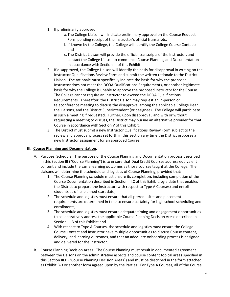- 1. If preliminarily approved:
	- a.The College Liaison will indicate preliminary approval on the Course Request Form pending receipt of the Instructor's official transcripts;
	- b.If known by the College, the College will identify the College Course Contact; and
	- c. The District Liaison will provide the official transcripts of the Instructor, and contact the College Liaison to commence Course Planning and Documentation in accordance with Section III of this Exhibit.
- 2. If disapproved, the College Liaison will identify the basis for disapproval in writing on the Instructor Qualifications Review Form and submit the written rationale to the District Liaison. The rationale must specifically indicate the basis for why the proposed Instructor does not meet the DCQA Qualifications Requirements, or another legitimate basis for why the College is unable to approve the proposed Instructor for the Course. The College cannot require an Instructor to exceed the DCQA Qualifications Requirements. Thereafter, the District Liaison may request an in-person or teleconference meeting to discuss the disapproval among the applicable College Dean, the Liaisons, and the District Superintendent (or designee). The College will participate in such a meeting if requested. Further, upon disapproval, and with or without requesting a meeting to discuss, the District may pursue an alternative provider for that Course in accordance with Section V of this Exhibit.
- 3. The District must submit a new Instructor Qualifications Review Form subject to the review and approval process set forth in this Section any time the District proposes a new Instructor assignment for an approved Course.

# **III. Course Planning and Documentation.**

- A. Purpose; Schedule. The purpose of the Course Planning and Documentation process described in this Section III ("Course Planning") is to ensure that Dual Credit Courses address equivalent content and include the same learning outcomes as those courses taught at the College. The Liaisons will determine the schedule and logistics of Course Planning, provided that:
	- 1. The Course Planning schedule must ensure its completion, including completion of the Course Documentation described in Section III.C of this Exhibit, by a date that enables the District to prepare the Instructor (with respect to Type A Courses) and enroll students as of its planned start date;
	- 2. The schedule and logistics must ensure that all prerequisites and placement requirements are determined in time to ensure certainty for high school scheduling and enrollments;
	- 3. The schedule and logistics must ensure adequate timing and engagement opportunities to collaboratively address the applicable Course Planning Decision Areas described in Section III.B of this Exhibit; and
	- 4. With respect to Type A Courses, the schedule and logistics must ensure the College Course Contact and Instructor have multiple opportunities to discuss Course content, delivery, and learning outcomes, and that an adequate onboarding process is designed and delivered for the Instructor.
- B. Course Planning Decision Areas. The Course Planning must result in documented agreement between the Liaisons on the administrative aspects and course content topical areas specified in this Section III.B ("Course Planning Decision Areas") and must be described in the form attached as Exhibit B-3 or another form agreed upon by the Parties. For Type A Courses, all of the Course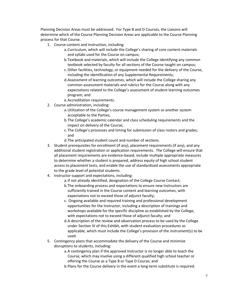Planning Decision Areas must be addressed. For Type B and D Courses, the Liaisons will determine which of the Course Planning Decision Areas are applicable to the Course Planning process for that Course.

- 1. Course content and instruction, including:
	- a.Curriculum, which will include the College's sharing of core content materials and syllabi used for the Course on campus;
	- b.Textbook and materials, which will include the College identifying any common textbook selected by faculty for all sections of the Course taught on campus;
	- c.Other facilities, technology, or equipment needed for the delivery of the Course, including the identification of any Supplemental Requirements;
	- d.Assessment of learning outcomes, which will include the College sharing any common assessment materials and rubrics for the Course along with any expectations related to the College's assessment of student learning outcomes program; and
	- e.Accreditation requirements.
- 2. Course administration, including:
	- a.Utilization of the College's course management system or another system acceptable to the Parties;
	- b.The College's academic calendar and class scheduling requirements and the impact on delivery of the Course;
	- c. The College's processes and timing for submission of class rosters and grades; and
	- d.The anticipated student count and number of sections.
- 3. Student prerequisites for enrollment (if any), placement requirements (if any), and any additional student registration or application requirements. The College will ensure that all placement requirements are evidence-based, include multiple appropriate measures to determine whether a student is prepared, address equity of high school student access to placement tests, and enable the use of standardized assessments appropriate to the grade level of potential students.
- 4. Instructor support and expectations, including:
	- a.If not already identified, designation of the College Course Contact;
	- b.The onboarding process and expectations to ensure new Instructors are sufficiently trained in the Course content and learning outcomes, with expectations not to exceed those of adjunct faculty;
	- c. Ongoing available and required training and professional development opportunities for the Instructor, including a description of trainings and workshops available for the specific discipline as established by the College, with expectations not to exceed those of adjunct faculty; and
	- d.A description of the review and observation process to be used by the College under Section IV of this Exhibit, with student evaluation procedures as applicable, which must include the College's provision of the instrument(s) to be used.
- 5. Contingency plans that accommodate the delivery of the Course and minimize disruptions to students, including:
	- a.A contingency plan if the approved Instructor is no longer able to teach the Course, which may involve using a different qualified high school teacher or offering the Course as a Type B or Type D Course; and
	- b.Plans for the Course delivery in the event a long-term substitute is required.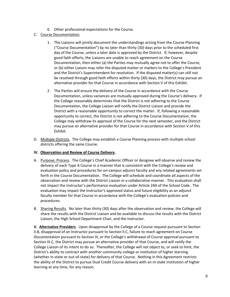- 6. Other professional expectations for the Course.
- C. Course Documentation.
	- 1. The Liaisons will jointly document the understandings arising from the Course Planning ("Course Documentation") by no later than thirty (30) days prior to the scheduled first day of the Course, unless a later date is approved by the District. If, however, despite good faith efforts, the Liaisons are unable to reach agreement on the Course Documentation, then either (a) the Parties may mutually agree not to offer the Course, or (b) either Liaison may refer the disputed matter or matters to the College's President and the District's Superintendent for resolution. If the disputed matter(s) can still not be resolved through good faith efforts within thirty (30) days, the District may pursue an alternative provider for that Course in accordance with Section V of this Exhibit.
	- 2. The Parties will ensure the delivery of the Course in accordance with the Course Documentation, unless variances are mutually approved during the Course's delivery. If the College reasonably determines that the District is not adhering to the Course Documentation, the College Liaison will notify the District Liaison and provide the District with a reasonable opportunity to correct the matter. If, following a reasonable opportunity to correct, the District is not adhering to the Course Documentation, the College may withdraw its approval of the Course for the next semester, and the District may pursue an alternative provider for that Course in accordance with Section V of this Exhibit.
- D. Multiple Districts. The College may establish a Course Planning process with multiple school districts offering the same Course.

# **IV. Observation and Review of Course Delivery.**

- A. Purpose; Process. The College's Chief Academic Officer or designee will observe and review the delivery of each Type A Course in a manner that is consistent with the College's review and evaluation policy and procedures for on-campus adjunct faculty and any related agreements set forth in the Course Documentation. The College will schedule and coordinate all aspects of the observation and review with the District Liaison in a collaborative manner. This evaluation shall not impact the Instructor's performance evaluation under Article 24A of the School Code. The evaluation may impact the Instructor's approved status and future eligibility as an adjunct faculty member for that Course in accordance with the College's evaluation policies and procedures.
- B. Sharing Results. No later than thirty (30) days after the observation and review, the College will share the results with the District Liaison and be available to discuss the results with the District Liaison, the High School Department Chair, and the Instructor.

**V. Alternative Providers**. Upon disapproval by the College of a Course request pursuant to Section II.B, disapproval of an Instructor pursuant to Section II.C, failure to reach agreement on Course Documentation pursuant to Section III, or the College's withdrawal of Course approval pursuant to Section III.C, the District may pursue an alternative provider of that Course, and will notify the College Liaison of its intent to do so. Thereafter, the College will not object to, or seek to limit, the District's ability to contract with another community college or institution of higher learning (whether in-state or out-of-state) for delivery of that Course. Nothing in this Agreement restricts the ability of the District to pursue Dual Credit Course delivery with an in-state institution of higher learning at any time, for any reason.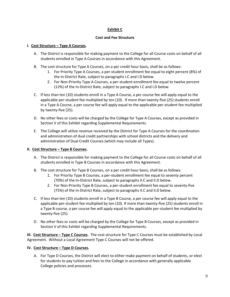# **Exhibit C**

#### **Cost and Fee Structure**

## **I. Cost Structure – Type A Courses.**

- A. The District is responsible for making payment to the College for all Course costs on behalf of all students enrolled in Type A Courses in accordance with this Agreement.
- B. The cost structure for Type A Courses, on a per credit hour basis, shall be as follows:
	- 1. For Priority Type A Courses, a per-student enrollment fee equal to eight percent (8%) of the In-District Rate, subject to paragraphs I.C and I.D below.
	- 2. For Non-Priority Type A Courses, a per-student enrollment fee equal to twelve percent (12%) of the In-District Rate, subject to paragraphs I.C and I.D below.
- C. If less than ten (10) students enroll in a Type A Course, a per course fee will apply equal to the applicable per-student fee multiplied by ten (10). If more than twenty-five (25) students enroll in a Type A Course, a per course fee will apply equal to the applicable per-student fee multiplied by twenty-five (25).
- D. No other fees or costs will be charged by the College for Type A Courses, except as provided in Section V of this Exhibit regarding Supplemental Requirements.
- E. The College will utilize revenue received by the District for Type A Courses for the coordination and administration of dual credit partnerships with school districts and the delivery and administration of Dual Credit Courses (which may include all Types).

## **II. Cost Structure – Type B Courses.**

- A. The District is responsible for making payment to the College for all Course costs on behalf of all students enrolled in Type B Courses in accordance with this Agreement.
- B. The cost structure for Type B Courses, on a per credit hour basis, shall be as follows:
	- 1. For Priority Type B Courses, a per-student enrollment fee equal to seventy percent (70%) of the In-District Rate, subject to paragraphs II.C and II.D below.
	- 2. For Non-Priority Type B Courses, a per-student enrollment fee equal to seventy-five (75%) of the In-District Rate, subject to paragraphs II.C and II.D below.
- C. If less than ten (10) students enroll in a Type B Course, a per course fee will apply equal to the applicable per-student fee multiplied by ten (10). If more than twenty-five (25) students enroll in a Type B course, a per course fee will apply equal to the applicable per-student fee multiplied by twenty-five (25).
- D. No other fees or costs will be charged by the College for Type B Courses, except as provided in Section V of this Exhibit regarding Supplemental Requirements.

**III. Cost Structure – Type C Courses.** The cost structure for Type C Courses must be established by Local Agreement. Without a Local Agreement Type C Courses will not be offered.

## **IV. Cost Structure – Type D Courses.**

A. For Type D Courses, the District will elect to either make payment on behalf of students, or elect for students to pay tuition and fees to the College in accordance with generally applicable College policies and processes.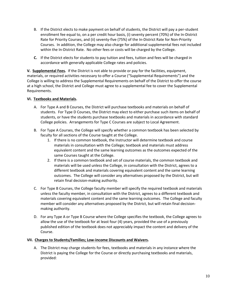- B. If the District elects to make payment on behalf of students, the District will pay a per-student enrollment fee equal to, on a per credit hour basis, (i) seventy percent (70%) of the In-District Rate for Priority Courses, and (ii) seventy-five (75%) of the In-District Rate for Non-Priority Courses. In addition, the College may also charge for additional supplemental fees not included within the In-District Rate. No other fees or costs will be charged by the College.
- **C.** If the District elects for students to pay tuition and fees, tuition and fees will be charged in accordance with generally applicable College rates and policies.

**V. Supplemental Fees.** If the District is not able to provide or pay for the facilities, equipment, materials, or required activities necessary to offer a Course ("Supplemental Requirements") and the College is willing to address the Supplemental Requirements on behalf of the District to offer the course at a high school, the District and College must agree to a supplemental fee to cover the Supplemental Requirements.

# **VI. Textbooks and Materials.**

- A. For Type A and B Courses, the District will purchase textbooks and materials on behalf of students. For Type D Courses, the District may elect to either purchase such items on behalf of students, or have the students purchase textbooks and materials in accordance with standard College policies. Arrangements for Type C Courses are subject to Local Agreement.
- B. For Type A Courses, the College will specify whether a common textbook has been selected by faculty for all sections of the Course taught at the College.
	- 1. If there is no common textbook, the Instructor will determine textbook and course materials in consultation with the College; textbook and materials must address equivalent content and the same learning outcomes as the outcomes expected of the same Courses taught at the College.
	- 2. If there is a common textbook and set of course materials, the common textbook and materials will be used unless the College, in consultation with the District, agrees to a different textbook and materials covering equivalent content and the same learning outcomes. The College will consider any alternatives proposed by the District, but will retain final decision-making authority.
- C. For Type B Courses, the College faculty member will specify the required textbook and materials unless the faculty member, in consultation with the District, agrees to a different textbook and materials covering equivalent content and the same learning outcomes. The College and faculty member will consider any alternatives proposed by the District, but will retain final decisionmaking authority.
- D. For any Type A or Type B Course where the College specifies the textbook, the College agrees to allow the use of the textbook for at least four (4) years, provided the use of a previously published edition of the textbook does not appreciably impact the content and delivery of the Course.

## **VII. Charges to Students/Families; Low-income Discounts and Waivers.**

A. The District may charge students for fees, textbooks and materials in any instance where the District is paying the College for the Course or directly purchasing textbooks and materials, provided: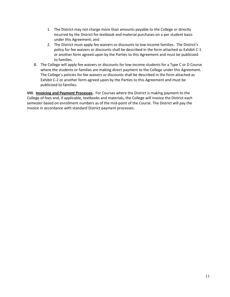- 1. The District may not charge more than amounts payable to the College or directly incurred by the District for textbook and material purchases on a per student basis under this Agreement; and
- 2. The District must apply fee waivers or discounts to low-income families. The District's policy for fee waivers or discounts shall be described in the form attached as Exhibit C-1 or another form agreed upon by the Parties to this Agreement and must be publicized to families.
- B. The College will apply fee waivers or discounts for low-income students for a Type C or D Course where the students or families are making direct payment to the College under this Agreement. The College's policies for fee waivers or discounts shall be described in the form attached as Exhibit C-2 or another form agreed upon by the Parties to this Agreement and must be publicized to families.

**VIII. Invoicing and Payment Processes.** For Courses where the District is making payment to the College of fees and, if applicable, textbooks and materials, the College will invoice the District each semester based on enrollment numbers as of the mid-point of the Course. The District will pay the invoice in accordance with standard District payment processes.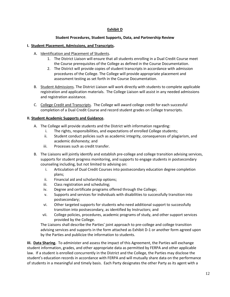# **Exhibit D**

# **Student Procedures, Student Supports, Data, and Partnership Review**

## **I. Student Placement, Admissions, and Transcripts.**

- A. Identification and Placement of Students.
	- 1. The District Liaison will ensure that all students enrolling in a Dual Credit Course meet the Course prerequisites of the College as defined in the Course Documentation.
	- 2. The District will provide copies of student transcripts in accordance with admission procedures of the College. The College will provide appropriate placement and assessment testing as set forth in the Course Documentation.
- B. Student Admissions. The District Liaison will work directly with students to complete applicable registration and application materials. The College Liaison will assist in any needed admissions and registration assistance.
- C. College Credit and Transcripts. The College will award college credit for each successful completion of a Dual Credit Course and record student grades on College transcripts.

## **II. Student Academic Supports and Guidance.**

- A. The College will provide students and the District with information regarding:
	- i. The rights, responsibilities, and expectations of enrolled College students;
	- ii. Student conduct policies such as academic integrity, consequences of plagiarism, and academic dishonesty; and
	- iii. Processes such as credit transfer.
- B. The Liaisons will jointly identify and establish pre-college and college transition advising services, supports for student progress monitoring, and supports to engage students in postsecondary counseling including, but not limited to advising on:
	- i. Articulation of Dual Credit Courses into postsecondary education degree completion plans;
	- ii. Financial aid and scholarship options;
	- iii. Class registration and scheduling;
	- iv. Degree and certificate programs offered through the College;
	- v. Supports and services for individuals with disabilities to successfully transition into postsecondary;
	- vi. Other targeted supports for students who need additional support to successfully transition into postsecondary, as identified by Instructors; and
	- vii. College policies, procedures, academic programs of study, and other support services provided by the College.

The Liaisons shall describe the Parties' joint approach to pre-college and college transition advising services and supports in the form attached as Exhibit D-1 or another form agreed upon by the Parties and publicize the information to students.

**III. Data Sharing.** To administer and assess the impact of this Agreement, the Parties will exchange student information, grades, and other appropriate data as permitted by FERPA and other applicable law. If a student is enrolled concurrently in the District and the College, the Parties may disclose the student's education records in accordance with FERPA and will mutually share data on the performance of students in a meaningful and timely basis. Each Party designates the other Party as its agent with a